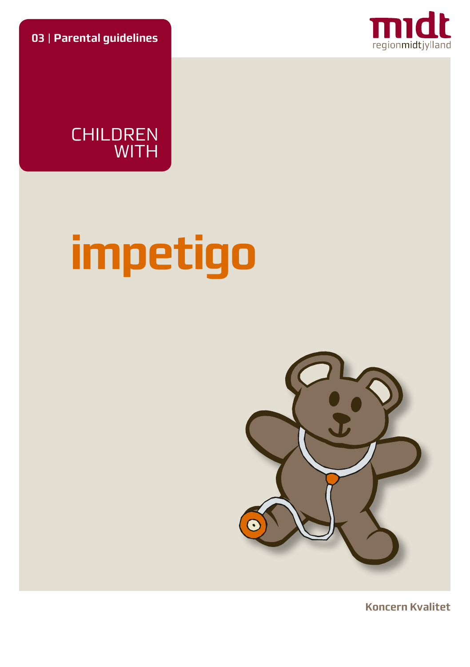**03** | **Parental guidelines**





# **impetigo**



**Koncern Kvalitet**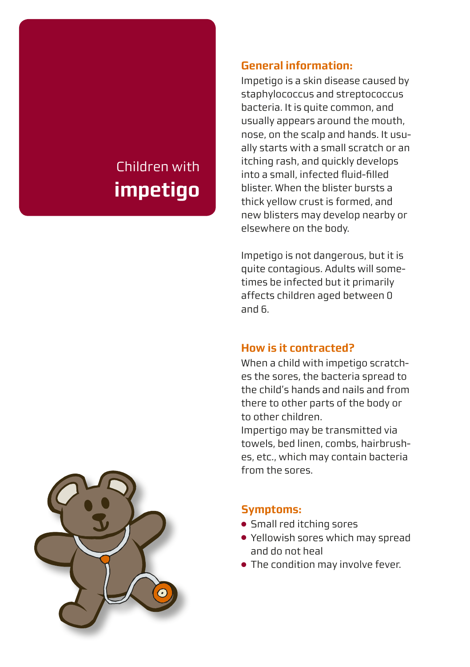# Children with **impetigo**

#### **General information:**

Impetigo is a skin disease caused by staphylococcus and streptococcus bacteria. It is quite common, and usually appears around the mouth, nose, on the scalp and hands. It usually starts with a small scratch or an itching rash, and quickly develops into a small, infected fluid-filled blister. When the blister bursts a thick yellow crust is formed, and new blisters may develop nearby or elsewhere on the body.

Impetigo is not dangerous, but it is quite contagious. Adults will sometimes be infected but it primarily affects children aged between 0 and 6.

# **How is it contracted?**

When a child with impetigo scratches the sores, the bacteria spread to the child's hands and nails and from there to other parts of the body or to other children.

Impertigo may be transmitted via towels, bed linen, combs, hairbrushes, etc., which may contain bacteria from the sores.

#### **Symptoms:**

- Small red itching sores
- Yellowish sores which may spread and do not heal
- The condition may involve fever.

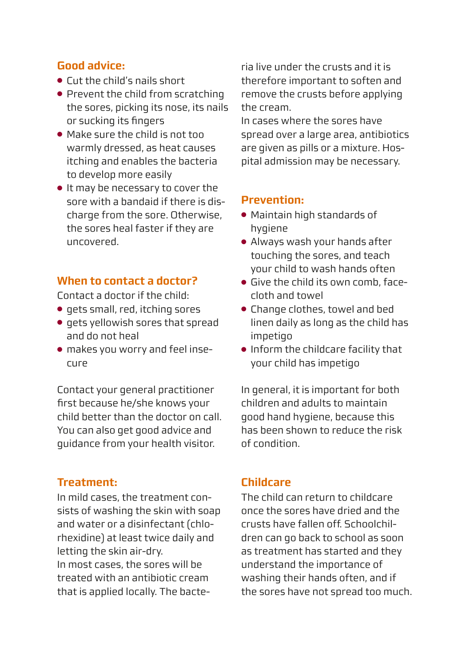#### **Good advice:**

- Cut the child's nails short
- Prevent the child from scratching the sores, picking its nose, its nails or sucking its fingers
- Make sure the child is not too warmly dressed, as heat causes itching and enables the bacteria to develop more easily
- It may be necessary to cover the sore with a bandaid if there is discharge from the sore. Otherwise, the sores heal faster if they are uncovered.

#### **When to contact a doctor?**

Contact a doctor if the child:

- gets small, red, itching sores
- gets yellowish sores that spread and do not heal
- makes you worry and feel insecure

Contact your general practitioner first because he/she knows your child better than the doctor on call. You can also get good advice and guidance from your health visitor.

# **Treatment:**

In mild cases, the treatment consists of washing the skin with soap and water or a disinfectant (chlorhexidine) at least twice daily and letting the skin air-dry. In most cases, the sores will be treated with an antibiotic cream that is applied locally. The bacteria live under the crusts and it is therefore important to soften and remove the crusts before applying the cream.

In cases where the sores have spread over a large area, antibiotics are given as pills or a mixture. Hospital admission may be necessary.

#### **Prevention:**

- Maintain high standards of hygiene
- Always wash your hands after touching the sores, and teach your child to wash hands often
- Give the child its own comb, facecloth and towel
- Change clothes, towel and bed linen daily as long as the child has impetigo
- Inform the childcare facility that your child has impetigo

In general, it is important for both children and adults to maintain good hand hygiene, because this has been shown to reduce the risk of condition.

# **Childcare**

The child can return to childcare once the sores have dried and the crusts have fallen off. Schoolchildren can go back to school as soon as treatment has started and they understand the importance of washing their hands often, and if the sores have not spread too much.